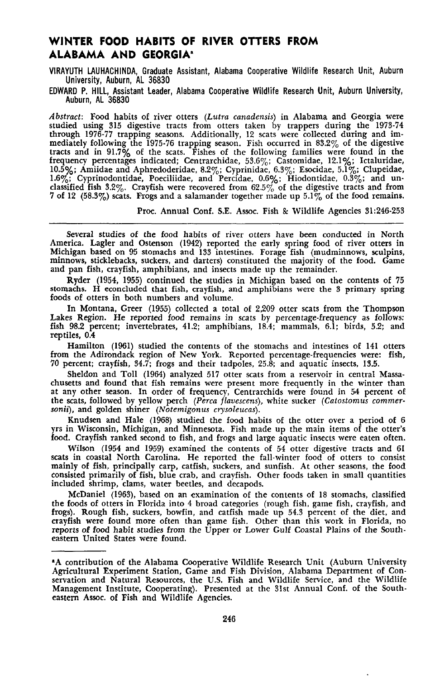# **WINTER FOOD HABITS OF RIVER OTTERS FROM ALABAMA AND GEORGIA"**

VIRAYUTH LAUHACHINDA, Graduate Assistant, Alabama Cooperative Wildlife Research Unit, Auburn University, Auburn, AL 36830

EDWARD P. HILL, Assistant Leader, Alabama Cooperative Wildlife Research Unit, Auburn University, Auburn, AL 36830

*Abstract:* Food habits of river otters *(Lutra canadensis)* in Alabama and Georgia were studied using 315 digestive tracts from otters taken by trappers during the 1973-74 through 1976-77 trapping seasons. Additionally, 12 scats were collected during and immediately following the 1975-76 trapping season. Fish occurred in 83.2% of the digestive tracts and in 91.7% of the scats. Fishes of the following families were found in the frequency percentages indicated; Centrarchidae, 53.6%; Castomidae, 12.1%; Ictaluridae, 10.5%; Amiidae and Aphredoderidae, 8.2%; Cyprinidae, 6.3%; Esocidae, 5.1%; Clupeidae, 1.6%; Cyprinodontidae, Poeciliidae, and Percidae, 0.6%; Hiodontidae, 0.3%; and unclassified fish 3.2%. Crayfish were recovered from 62.5% of the digestive tracts and from 7 of 12 (58.3%) scats. Frogs and a salamander together made up  $5.1\%$  of the food remains.

Proc. Annual Conf. S.E. Assoc. Fish & Wildlife Agencies 31:246-253

Several studies of the food habits of river otters have been conducted in North America. Lagler and Ostenson (1942) reported the early spring food of river otters in Michigan based on 95 stomachs and 133 intestines. Forage fish (mudminnows, sculpins, minnows, sticklebacks, suckers, and darters) constituted the majority of the food. Game and pan fish, crayfish, amphibians, and insects made up the remainder.

Ryder (1954, 1955) continued the studies in Michigan based on the contents of 75 stomachs. H econcluded that fish, crayfish, and amphibians were the 3 primary spring foods of otters in both numbers and volume.

In Montana, Greer (1955) collected a total of 2,209 otter scats from the Thompson Lakes Region. He reported food remains in scats by percentage-frequency as follows: fish 98.2 percent; invertebrates, 41.2; amphibians, 18.4; mammals, 6.1; birds, 5.2; and reptiles, 0.4

Hamilton (1961) studied the contents of the stomachs and intestines of 141 otters from the Adirondack region of New York. Reported percentage.frequencies were: fish, 70 percent; crayfish, 34.7; frogs and their tadpoles, 25\$; and aquatic insects, 13.5.

Sheldon and Toll (1964) analyzed 517 otter scats from a reservoir in central Massachusetts and found that fish remains were present more frequently in the winter than at any other season. In order of frequency, Centrarchids were found in 54 percent of the scats, followed by yellow perch *(Perea f1avescens),* white sucker *(Catostomus commer· sonii),* and golden shiner *(Notemigonus crysoleucas).*

Knudsen and Hale (1968) studied the food habits of the otter over a period of 6 yrs in Wisconsin, Michigan, and Minnesota. Fish made up the main items of the otter's food. Crayfish ranked second to fish, and frogs and large aquatic insects were eaten often.

Wilson (1954 and 1959) examined the contents of 54 otter digestive tracts and 61 scats in coastal North Carolina. He reported the fall-Winter food of otters to consist mainly of fish. principally carp, catfish, suckers, and sunfish. At other seasons, the food consisted primarily of fish, blue crab, and crayfish. Other foods taken in small quantities included shrimp, clams, water beetles, and decapods.

McDaniel (1963), based on an examination of the contents of 18 stomachs, classified the foods of otters in Florida into 4 broad categories (rough fish, game fish, crayfish, and frogs). Rough fish, suckers, bowfin, and catfish made up 54.3 percent of the diet, and crayfish were found more often than game fish. Other than this work in Florida, no reports of food habit studies from the Upper or Lower Gulf Coastal Plains of the Southeastern United States were found.

<sup>&</sup>quot;A contribution of the Alabama Cooperative Wildlife Research Unit (Auburn University Agricultural Experiment Station, Game and Fish Division, Alabama Department of Conservation and Natural Resources, the U.S. Fish and Wildlife Service, and the Wildlife Management Institute, Cooperating). Presented at the 31st Annual Conf. of the Southeastern Assoc. of Fish and Wildlife Agencies.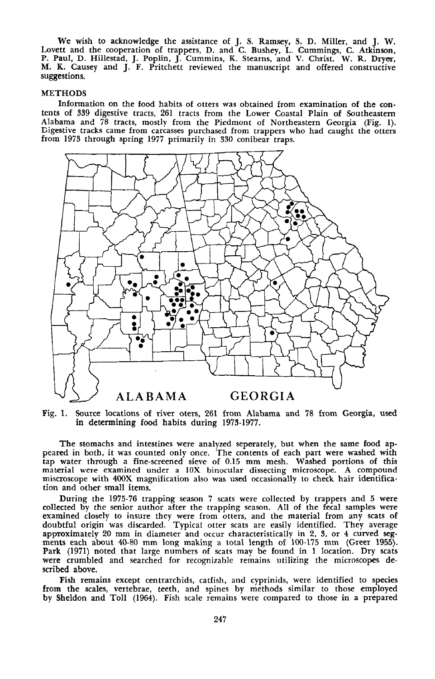We wish to acknowledge the assistance of J. S. Ramsey, S. D. Miller, and J. W. Lovett and the cooperation of trappers, D. and C. Bushey, L. Cummings, C. Atkinson,<br>P. Paul, D. Hillestad, J. Poplin, J. Cummins, K. Stearns, and V. Christ. W. R. Dryer,<br>M. K. Causey and J. F. Pritchett reviewed the manusc suggestions.

### METHODS

Information on the food habits of otters was obtained from examination of the contents of 339 digestive tracts, 261 tracts from the Lower Coastal Plain of Southeastern Alabama and 78 tracts, mostly from the Piedmont of Northeastern Georgia (Fig. 1). Digestive tracks came from carcasses purchased from trappers who had caught the otters from 1973 through spring 1977 primarily in 330 conibear traps.



Fig. 1. Source locations of river oters, 261 from Alabama and 78 from Georgia, used in determining food habits during 1973-1977.

The stomachs and intestines were analyzed seperately, but when the same food appeared in both, it was counted only once. The contents of each part were washed with tap water through a fine-screened sieve of 0.15 mm mesh. Washed portions of this material were examined under a lOX binocular dissecting microscope. A compound miscroscope with 400X magnification also was used occasionaUy to check hair identification and other small items.

During the 1975-76 trapping season 7 scats were collected by trappers and 5 were collected by the senior author after the trapping season. All of the fecal samples were examined closely to insure they were from otters, and the material from any scats of doubtful origin was discarded. Typical otter scats are easily identified. They average approximately 20 mm in diameter and occur characteristically in 2, 3, or 4 curved segments each about 40-80 mm long making a total length of 100-175 mm (Greer 1955). Park (1971) noted that large numbers of scats may be found in I location. Dry scats were crumbled and searched for recognizable remains utilizing the microscopes described above.

Fish remains except centrarchids, catfish, and cyprinids, were identified to species from the scales, vertebrae, teeth, and spines by methods similar to those employed by Sheldon and Toll (1964). Fish scale remains were compared to those in a prepared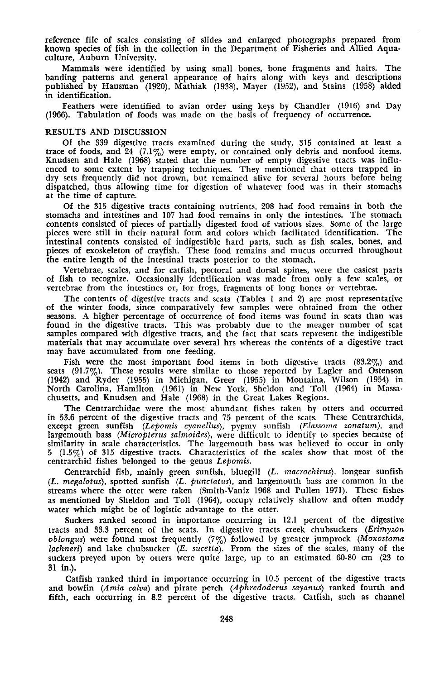reference file of scales consisting of slides and enlarged photographs prepared from known species of fish in the collection in the Department of Fisheries and Allied Aquaculture, Auburn University.

Mammals were identified by using small bones, bone fragments and hairs. The banding patterns and general appearance of hairs along with keys and descriptions published by Hausman (1920), Mathiak (1938), Mayer (1952), and Stains (1958) aided in identification.

Feathers were identified to avian order using keys by Chandler (1916) and Day (1966). Tabulation of foods was made on the basis of frequency of occurrence.

## RESULTS AND DISCUSSION

Of the 339 digestive tracts examined during the study, 315 contained at least a trace of foods, and 24  $(7.1\%)$  were empty, or contained only debris and nonfood items. Knudsen and Hale (1968) stated that the number of empty digestive tracts was influenced to some extent by trapping techniques. They mentioned that otters trapped in dry sets frequently did not drown, but remained alive for several hours before being dispatched, thus allowing time for digestion of whatever food was in their stomachs at the time of capture.

Of the 315 digestive tracts containing nutrients, 208 had food remains in both the stomachs and intestines and 107 had food remains in only the intestines. The stomach contents consisted of pieces of partially digested food of various sizes. Some of the large pieces were still in their natural form and colors which facilitated identification. The intestinal contents consisted of indigestible hard parts, such as fish scales, bones, and pieces of exoskeleton of crayfish. These food remains and mucus occurred throughout the entire length of the intestinal tracts posterior to the stomach.

Vertebrae, scales, and for catfish, pectoral and dorsal spines, were the easiest parts of fish to recognize. Occasionally identification was made from only a few scales, or vertebrae from the intestines or, for frogs, fragments of long bones or vertebrae.

The contents of digestive tracts and scats (Tables I and 2) are most representative of the winter foods, since comparatively few samples were obtained from the other seasons. <sup>A</sup> higher percentage of occurrence of food items was found in scats than was found in the digestive tracts. This was probably due to the meager number of scat samples compared with digestive tracts, and the fact that scats represent the indigestible materials that may accumulate over several hrs whereas the contents of a digestive tract may have accumulated from one feeding.

Fish were the most important food items in both digestive tracts (83.2%) and scats  $(91.7\%)$ . These results were similar to those reported by Lagler and Ostenson (1942) and Ryder (1955) in Michigan, Greer (1955) in Montaina, Wilson (1954) in North Carolina, Hamilton (1961) in New York, Sheldon and Toll (1964) in Massachusetts, and Knudsen and Hale (1968) in the Great Lakes Regions.

The Centrarchidae were the most abundant fishes taken by otters and occurred in 53.6 percent of the digestive tracts and 75 percent of the scats. These Centrarchids, except green sunfish *(Lepomis cyanellus),* pygmy sunfish *(Elassorna zonaturn),* and largemouth bass *(Micropterus salmoides),* were difficult to identify to species because of similarity in scale characteristics. The largemouth bass was believed to occur in only  $5$   $(1.5\%)$  of 315 digestive tracts. Characteristics of the scales show that most of the centrarchid fishes belonged to the genus *Lepomis.*

. Centrarchid fish, mainly green sunfish, bluegill (L. *macrochirus),* longear sunfish *(L. megalotus),* spotted sunfish (L. *punctatus),* and largemouth bass are common in the streams where the otter were taken (Smith-Vaniz 1968 and Pullen 1971). These fishes as mentioned by Sheldon and Toll (1964), occupy relatively shallow and often muddy water which might be of logistic advantage to the otter.

Suckers ranked second in importance occurring in 12.1 percent of the digestive tracts and 33.3 percent of the scats. In digestive tracts creek chubsuckers *(Erimyzon oblongus)* were found most frequently (7%) followed by greater jumprock *(Moxostoma lachneri)* and lake chubsucker *(E. sucetta).* From the sizes of the scales, many of the suckers preyed upon by otters were quite large, up to an estimated 60-80 em (23 to 31 in.).

Catfish ranked third in importance occurring in 10.5 percent of the digestive tracts and bowfin *(Amia calva)* and pirate perch *(Aphredoderus sayanus)* ranked fourth and fifth, each occurring in 8.2 percent of the digestive tracts. Catfish, such as channel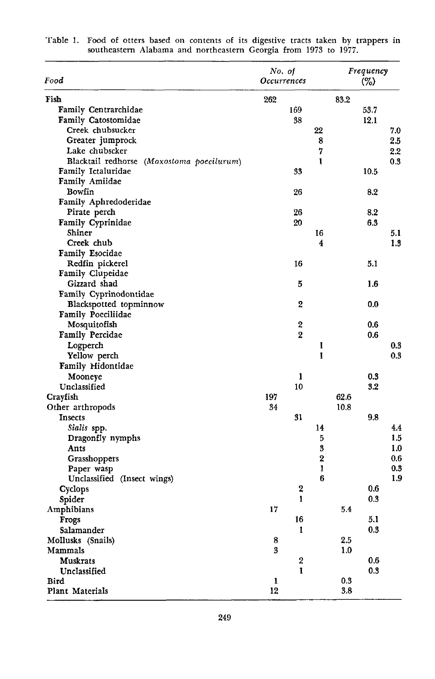| Food                                      | No. of<br>Occurrences |              | Frequency<br>$(\%)$ |      |     |
|-------------------------------------------|-----------------------|--------------|---------------------|------|-----|
| Fish                                      | 262                   |              | 83.2                |      |     |
| Family Centrarchidae                      | 169                   |              |                     | 53.7 |     |
| Family Catostomidae                       | 38                    |              |                     | 12.1 |     |
| Creek chubsucker                          |                       | 22           |                     |      | 7.0 |
| Greater jumprock                          |                       | 8            |                     |      | 2.5 |
| Lake chubscker                            |                       | 7            |                     |      | 2.2 |
| Blacktail redhorse (Moxostoma poecilurum) |                       | $\mathbf{I}$ |                     |      | 0.3 |
| Family Ictaluridae                        | 33                    |              |                     | 10.5 |     |
| Family Amiidae                            |                       |              |                     |      |     |
| <b>Bowfin</b>                             | 26                    |              |                     | 8.2  |     |
| Family Aphredoderidae                     |                       |              |                     |      |     |
| Pirate perch                              | 26                    |              |                     | 8.2  |     |
| Family Cyprinidae                         | 20                    |              |                     | 6.3  |     |
| Shiner                                    |                       | 16           |                     |      | 5.1 |
| Creek chub                                |                       | 4            |                     |      | 1.3 |
| <b>Family Esocidae</b>                    |                       |              |                     |      |     |
| Redfin pickerel                           | 16                    |              |                     | 5.1  |     |
| Family Clupeidae                          |                       |              |                     |      |     |
| Gizzard shad                              | 5                     |              |                     | 1.6  |     |
| Family Cyprinodontidae                    |                       |              |                     |      |     |
| Blackspotted topminnow                    | 2                     |              |                     | 0.0  |     |
| <b>Family Poeciliidae</b>                 |                       |              |                     |      |     |
| Mosquitofish                              | 2                     |              |                     | 0.6  |     |
| <b>Family Percidae</b>                    | $\overline{2}$        |              |                     | 0.6  |     |
| Logperch                                  |                       | 1            |                     |      | 0.3 |
| Yellow perch                              |                       | I            |                     |      | 0.3 |
| <b>Family Hidontidae</b>                  |                       |              |                     |      |     |
| Mooneye                                   | 1                     |              |                     | 0.3  |     |
| Unclassified                              | 10                    |              |                     | 3.2  |     |
| Crayfish                                  | 197                   |              | 62.6                |      |     |
| Other arthropods                          | 34                    |              | 10.8                |      |     |
| <b>Insects</b>                            | 31                    |              |                     | 9.8  |     |
| Sialis spp.                               |                       | 14           |                     |      | 4.4 |
| Dragonfly nymphs                          |                       | 5            |                     |      | 1.5 |
| Ants                                      |                       | 3            |                     |      | 1.0 |
| Grasshoppers                              |                       | 2            |                     |      | 0.6 |
| Paper wasp                                |                       | 1            |                     |      | 0.3 |
| Unclassified (Insect wings)               |                       | 6            |                     |      | 1.9 |
| Cyclops                                   | 2                     |              |                     | 0.6  |     |
| Spider                                    | 1                     |              |                     | 0.3  |     |
| Amphibians                                | 17                    |              | 5.4                 |      |     |
| Frogs                                     | 16                    |              |                     | 5.1  |     |
| Salamander                                | ı                     |              |                     | 0.3  |     |
| Mollusks (Snails)                         | 8                     |              | 2.5                 |      |     |
| Mammals                                   | 3                     |              | 1.0                 |      |     |
| Muskrats                                  | 2                     |              |                     | 0.6  |     |
| Unclassified                              | ı                     |              |                     | 0.3  |     |
| Bird                                      | 1                     |              | 0.3                 |      |     |
| Plant Materials                           | 12                    |              | 3.8                 |      |     |

| Table 1. Food of otters based on contents of its digestive tracts taken by trappers in |
|----------------------------------------------------------------------------------------|
| southeastern Alabama and northeastern Georgia from 1973 to 1977.                       |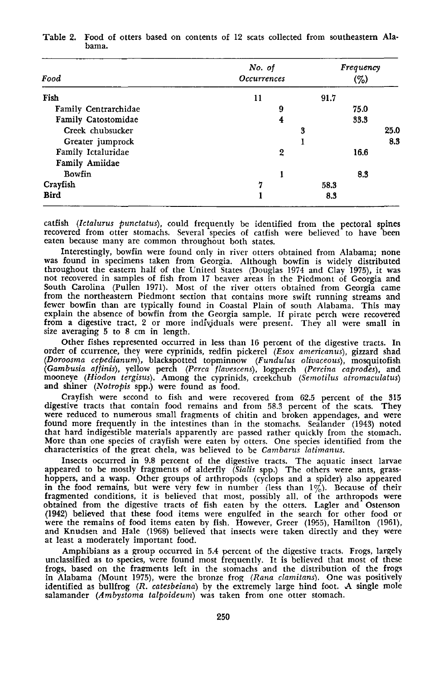| Food                 | No. of<br><b>Occurrences</b> | Frequency<br>$(\%)$ |  |  |
|----------------------|------------------------------|---------------------|--|--|
| Fish                 | 11                           | 91.7                |  |  |
| Family Centrarchidae | 9                            | 75.0                |  |  |
| Family Catostomidae  | 4                            | 33.3                |  |  |
| Creek chubsucker     | 3                            | 25.0                |  |  |
| Greater jumprock     |                              | 8.3                 |  |  |
| Family Ictaluridae   | 2                            | 16.6                |  |  |
| Family Amiidae       |                              |                     |  |  |
| Bowfin               |                              | 8.3                 |  |  |
| Crayfish             | די                           | 58.3                |  |  |
| <b>Bird</b>          |                              | 8.3                 |  |  |

## Table 2. Food of otters based on contents of 12 scats collected from southeastern Alabama.

catfish *(Ictalurus punctatus)*, could frequently be identified from the pectoral spines recovered from otter stomachs. Several species of catfish were believed to have been eaten because many are common throughout both states.

Interestingly, bowfin were found only in river otters obtained from Alabama; none was found in specimens taken from Georgia. Although bowfin is widely distributed throughout the eastern half of the United States (Douglas <sup>1974</sup> and Clay 1975), it was not recovered in samples of fish from <sup>17</sup> beaver areas in the Piedmont of Georgia and South Carolina (Pullen 1971). Most of the river otters obtained from Georgia came from the northeastern Piedmont section that contains more swift running streams and fewer bowfin than are typically found in Coastal Plain of south Alabama. This may explain the absence of bowfin from the Georgia sample. If pirate perch were recovered from a digestive tract, 2 or more indivjduals were present. They all were small in size averaging 5 to 8 em in length.

Other fishes represented occurred in less than 16 percent of the digestive tracts. In order of ccurrence, they were cyprinids, redfin pickerel *(Esox americanus)*, gizzard shad *(Doroosma cepedianum),* blackspotted topminnow *(Fundulus olivaceous),* mosquitofish (Gambusia affinis), yellow perch (Perca flavescens), logperch (Percina caprodes), and<br>mooneye (Hiodon tergisus). Among the cyprinids, creekchub (Semotilus atromaculatus) and shiner *(Notropis* spp.) were found as food.

Crayfish were second to fish and were recovered from 62.5 percent of the 315 digestive tracts that contain food remains and from 58.3 peroent of the scats. They were reduced to numerous small fragments of chitin and broken appendages, and were found more frequently in the intestines than in the stomachs. Sealander (1943) noted that hard indigestible materials apparently are passed rather quickly from the stomach. More than one species of crayfish were eaten by otters. One species identified from the characteristics of the great chela, was believed to be *Cambarus latimanus.*

Insects occurred in 9.8 percent of the digestive tracts. The aquatic insect larvae appeared to be mostly fragments of alderfly *(Sialis* spp.) The others were ants, grasshoppers, and a wasp. Other groups of arthropods (cyclops and a spider) also appeared in the food remains, but were very few in number (less than  $1\%$ ). Because of their fragmented conditions, it is believed that most, possibly all, of the arthropods were obtained from the digestive tracts of fish eaten by the otters. Lagler and Ostenson (1942) believed that these food items were engulfed were the remains of food items eaten by fish. However, Greer (1955), Hamilton (1961), and Knudsen and Hale (1968) believed that insects were taken directly and they were at least <sup>a</sup> moderately important food.

Amphibians as a group occurred in 5.4 percent of the digestive tracts. Frogs, largely unclassified as to species, were found most frequently. It is believed that most of these frogs, based on the fragments left in the stomachs and the distribution of the frogs in Alabama (Mount 1975), were the bronze frog *(Rana clamitans).* One was positively identified as bullfrog *(R. catesbeiana)* by the extremely large hind foot. A single mole salamander *(Ambystoma talpoideum)* was taken from one otter stomach.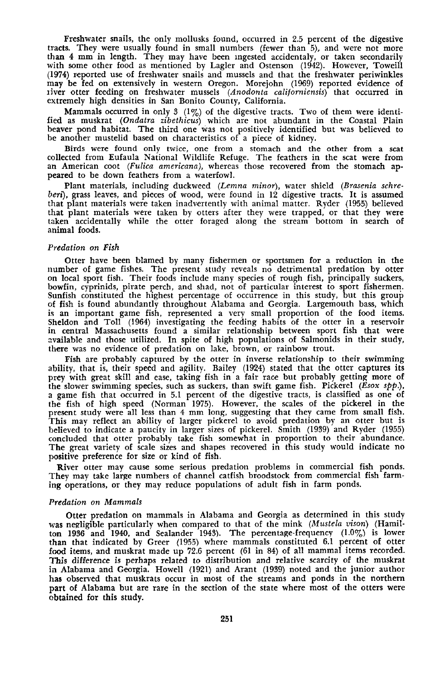Freshwater snails, the only mollusks found, occurred in 2.5 percent of the digestive tracts. They were usually found in small numbers (fewer than 5), and were not more than 4 mm in length. They may have been mgested accidentaly, or taken secondarily with some other food as mentioned by Lagler and Ostenson (1942). However, Toweill (1974) reported use of freshwater snails and mussels and that the freshwater periwinkles may be fed on extensively in western Oregon. Morejohn (1969) reported evidence of Jiver otter feeding on freshwater mussels *(Anodonta californiensis)* that occurred in extremely high densities in San Bonito County, California.

Mammals occurred in only 3 (1%) of the digestive tracts. Two of them were identified as muskrat *(Ondatra zibethicus)* which are not abundant in the Coastal Plain beaver pond habitat. The third one was not positively identified but was believed to be another mustelid based on characteristics of a piece of kidney.

Birds were found only twice, one from a stomach and the other from a scat collected from Eufaula National Wildlife Refuge. The feathers in the scat were from an American coot *(Fulica americana),* whereas those recovered from the stomach appeared to be down feathers from a waterfowl.

Plant materials, including duckweed *(Lemna minor),* water shield *(Brasenia schre*beri), grass leaves, and pieces of wood, were found in 12 digestive tracts. It is assumed that plant materials were taken inadvertently with animal matter. Ryder (1955) believed that plant materials were taken by otters after they were trapped, or that they were taken accidentally while the otter foraged along the stream bottom in search of animal foods.

#### *Predation on Fish*

Otter have been blamed by many fishermen or sportsmen for a reduction in the number of game fishes. The present study reveals no detrimental predation by otter on local sport fish. Their foods include many species of rough fish, principally suckers, bowfin, cyprinids, pirate perch, and shad, not of particular interest to sport fishermen. Sunfish constituted the highest percentage of occurrence in this study, but this group of fish is found abundantly throughout Alabama and Georgia. Largemouth bass, which is an important game fish, represented a very small proportion of the food items. Sheldon and Toll (1964) investigating the feeding habits of the otter in a reservoir in central Massachusetts found a similar relationship between sport fish that were available and those utilized. In spite of high populations of Salmonids in their study, there was no evidence of predation on lake, brown, or rainbow trout.

Fish are probably captured by the otter in inverse relationship to their swimming ability, that is, their speed and agility. Bailey (1924) stated that the otter captures its prey with great skill and ease, taking fish in a fair race but probably getting more of the slower swimming species, such as suckers, than swift game fish. Pickerel *(Esox spp.),* a game fish that occurred in 5.1 percent of the digestive tracts, is classified as one of the fish of high speed (Norman 1975). However, the scales of the pickerel in the present study were all less than 4 mm long, suggesting that they came from small fish. This may reflect an ability of larger pickerel to avoid predation by an otter but is believed to indicate a paucity in larger sizes of pickerel. Smith (1939) and Ryder (1955) concluded that otter probably take fish somewhat in proportion to their abundance. The great variety of scale sizes and shapes recovered in this study would indicate no positive preference for size or kind of fish.

River otter may cause some serious predation problems in commercial fish ponds. They may take large numbers of channel catfish broodstock from commercial fish farming operations, or they may reduce populations of adult fish in farm ponds.

#### *Predation on Mammals*

Otter predation on mammals in Alabama and Georgia as determined in this study was negligible particularly when compared to that of the mink *(Mustela vison)* (Hamilton 1936 and 1940, and Sealander 1943). The percentage-frequency (1.0%) is lower than that indicated by Greer (1955) where mammals constituted 6.1 percent of otter food items, and muskrat made up 72.6 percent (61 in 84) of all mammal items recorded. This difference is perhaps related to distribution and relative scarcity of the muskrat in Alabama and Georgia. Howell (1921) and Arant (1939) noted and the junior author has observed that muskrats occur in most of the streams and ponds in the northern part of Alabama but are rare in the section of the state where most of the otters were obtained for this study.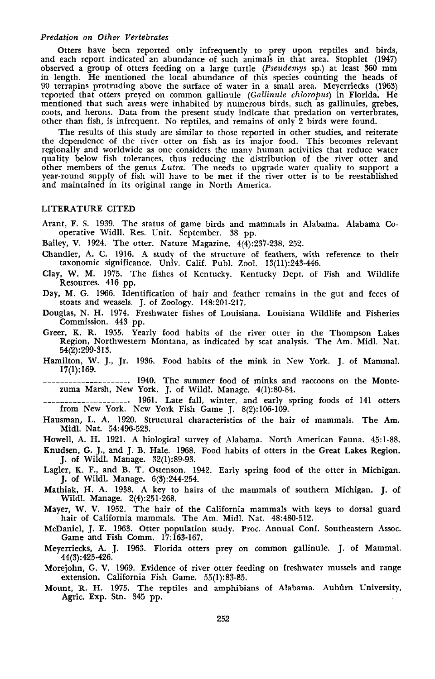## *Predation on Other Vertebrates*

Otters have been reported only infrequently to prey upon reptiles and birds, and each report indicated an abundance of such animals in that area. Stophlet (1947) observed a group of otters feeding on a large turtle *(Pseudemys* sp.) at least 360 mm in length. He mentioned the local abundance of this species counting the heads of 90 terrapins protruding above the surface of water in a small area. Meyerriecks (1963) reported that otters preyed on common gallinule *(Gallinule chloropus)* in Florida. He mentioned that such areas were inhabited by numerous birds, such as gallinules, grebes, coots, and herons. Data from the present study indicate that predation on verterbrates, other than fish, is infrequent. No reptiles, and remains of only 2 birds were found.

The results of this study are similar to those reported in other studies, and reiterate the dependence of the river otter on fish as its major food. This becomes relevant regionally and worldwide as one considers the many human activities that reduce water quality below fish tolerances, thus reducing the distribution of the river otter and other members of the genus *Lutra.* The needs to upgrade water quality to support <sup>a</sup> year-round supply of fish will have to be met if the river otter is to be reestablished and maintained in its original range in North America.

## LITERATURE CITED

Arant, F. S. 1939. The status of game birds and mammals in Alabama. Alabama Cooperative Widll. Res. Unit. September. 38 pp.

Bailey, V. 1924. The otter. Nature Magazine. 4(4):237-238, 252.

- Chandler, A. C. 1916. A study of the structure of feathers, with reference to their taxonomic significanoe. Univ. Calif. Publ. Zool. 13(11):243-446.
- Clay, W. M. 1975. The fishes of Kentucky. Kentucky Dept. of Fish and Wildlife Resources. 416 pp.
- Day, M. G. 1966. Identification of hair and feather remains in the gut and feces of stoats and weasels. J. of Zoology. 148:201-217.
- Douglas, N. H. 1974. Freshwater fishes of Louisiana. Louisiana Wildlife and Fisheries Commission. 443 pp.
- Greer, K. R. 1955. Yearly food habits of the river otter in the Thompson Lakes Region, Northwestern Montana, as indicated by scat analysis. The Am. MidI. Nat. 54(2):299·313.
- Hamilton, W. J., Jr. 1936. Food habits of the mink in New York. J. of Mammal. 17(1):169.

\_\_\_\_\_\_\_\_\_\_\_\_\_\_\_\_\_\_\_\_. 1940. The summer food of minks and raccoons on the Montezuma Marsh, New York. J. of Wildl. Manage. 4(1):80-84.

\_\_\_\_\_\_\_\_\_\_\_\_\_\_\_\_\_\_\_\_ . 1961. Late fall, winter, and early spring foods of 141 otters from New York. New York Fish Game J. 8(2):106-109.

- Hausman, L. A. 1920. Structural characteristics of the hair of mammals. The Am. Midi. Nat. 54:496·523.
- Howell, A. H. 1921. A biological survey of Alabama. North American Fauna. 45:1·88.
- Knudsen, G. J., and J. B. Hale. 1968. Food habits of otters in the Great Lakes Region. J. of Wildl. Manage. 32(1):89-93.
- Lagler, K. F., and B. T. Ostenson. 1942. Early spring food of the otter in Michigan. J. of Wildl. Manage. 6(3):244-254.
- Mathiak. H. A. 1938. A key to hairs of the mammals of southern Michigan. J. of Wildl. Manage. 2(4):251-268.
- Mayer, W. V. 1952. The hair of the California mammals with keys to dorsal guard hair of California mammals. The Am. MidI. Nat. 48:480-512.

McDaniel, J. E. 1963. Otter population study. Proc. Annual Conf. Southeastern Assoc. Game and Fish Comm. 17:163-167.

- Meyerriecks. A. J. 1963. Florida otters prey on common gallinule. J. of Mammal. 44(3):425·426.
- Morejohn, G. V. 1969. Evidence of river otter feeding on freshwater mussels and range extension. California Fish Game. 55(1):83-85.
- Mount, R. H. 1975. The reptiles and amphibians of Alabama. Auburn University, Agric. Exp. Stn. 345 pp.